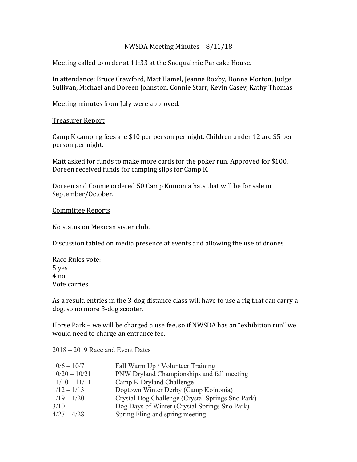# NWSDA Meeting Minutes – 8/11/18

Meeting called to order at 11:33 at the Snoqualmie Pancake House.

In attendance: Bruce Crawford, Matt Hamel, Jeanne Roxby, Donna Morton, Judge Sullivan, Michael and Doreen Johnston, Connie Starr, Kevin Casey, Kathy Thomas

Meeting minutes from July were approved.

## **Treasurer Report**

Camp K camping fees are \$10 per person per night. Children under 12 are \$5 per person per night.

Matt asked for funds to make more cards for the poker run. Approved for \$100. Doreen received funds for camping slips for Camp K.

Doreen and Connie ordered 50 Camp Koinonia hats that will be for sale in September/October.

## Committee Reports

No status on Mexican sister club.

Discussion tabled on media presence at events and allowing the use of drones.

Race Rules vote: 5 yes  $4 no$ Vote carries.

As a result, entries in the 3-dog distance class will have to use a rig that can carry a dog, so no more 3-dog scooter.

Horse Park - we will be charged a use fee, so if NWSDA has an "exhibition run" we would need to charge an entrance fee.

#### 2018 – 2019 Race and Event Dates

| $10/6 - 10/7$   | Fall Warm Up / Volunteer Training                |
|-----------------|--------------------------------------------------|
| $10/20 - 10/21$ | PNW Dryland Championships and fall meeting       |
| $11/10 - 11/11$ | Camp K Dryland Challenge                         |
| $1/12 - 1/13$   | Dogtown Winter Derby (Camp Koinonia)             |
| $1/19 - 1/20$   | Crystal Dog Challenge (Crystal Springs Sno Park) |
| 3/10            | Dog Days of Winter (Crystal Springs Sno Park)    |
| $4/27 - 4/28$   | Spring Fling and spring meeting                  |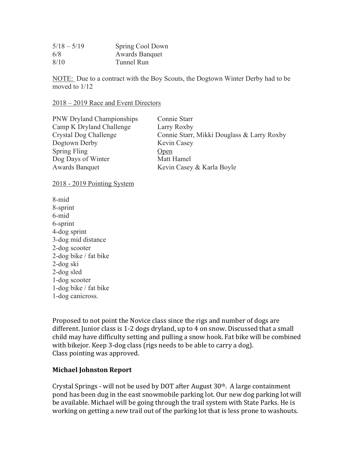| $5/18 - 5/19$ | Spring Cool Down      |
|---------------|-----------------------|
| 6/8           | <b>Awards Banquet</b> |
| 8/10          | Tunnel Run            |

NOTE: Due to a contract with the Boy Scouts, the Dogtown Winter Derby had to be moved to 1/12

### 2018 – 2019 Race and Event Directors

PNW Dryland Championships Connie Starr Camp K Dryland Challenge Larry Roxby Dogtown Derby Kevin Casey Spring Fling Open Dog Days of Winter Matt Hamel Awards Banquet Kevin Casey & Karla Boyle

Crystal Dog Challenge Connie Starr, Mikki Douglass & Larry Roxby

## 2018 - 2019 Pointing System

8-mid 8-sprint 6-mid 6-sprint 4-dog sprint 3-dog mid distance 2-dog scooter 2-dog bike / fat bike 2-dog ski 2-dog sled 1-dog scooter 1-dog bike / fat bike 1-dog canicross.

Proposed to not point the Novice class since the rigs and number of dogs are different. Junior class is  $1-2$  dogs dryland, up to  $4$  on snow. Discussed that a small child may have difficulty setting and pulling a snow hook. Fat bike will be combined with bikejor. Keep 3-dog class (rigs needs to be able to carry a dog). Class pointing was approved.

## **Michael Johnston Report**

Crystal Springs - will not be used by DOT after August  $30<sup>th</sup>$ . A large containment pond has been dug in the east snowmobile parking lot. Our new dog parking lot will be available. Michael will be going through the trail system with State Parks. He is working on getting a new trail out of the parking lot that is less prone to washouts.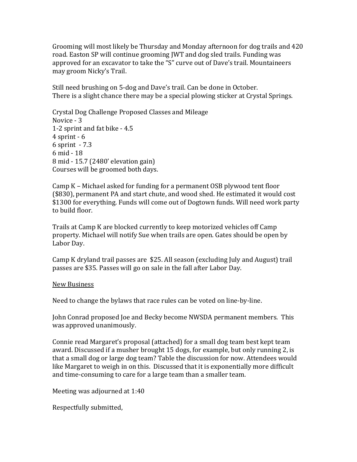Grooming will most likely be Thursday and Monday afternoon for dog trails and 420 road. Easton SP will continue grooming JWT and dog sled trails. Funding was approved for an excavator to take the "S" curve out of Dave's trail. Mountaineers may groom Nicky's Trail.

Still need brushing on 5-dog and Dave's trail. Can be done in October. There is a slight chance there may be a special plowing sticker at Crystal Springs.

Crystal Dog Challenge Proposed Classes and Mileage Novice - 3 1-2 sprint and fat bike - 4.5  $4$  sprint -  $6$  $6$  sprint  $-7.3$ 6 mid - 18 8 mid - 15.7 (2480' elevation gain) Courses will be groomed both days.

Camp  $K$  – Michael asked for funding for a permanent OSB plywood tent floor (\$830), permanent PA and start chute, and wood shed. He estimated it would cost \$1300 for everything. Funds will come out of Dogtown funds. Will need work party to build floor.

Trails at Camp K are blocked currently to keep motorized vehicles off Camp property. Michael will notify Sue when trails are open. Gates should be open by Labor Day.

Camp K dryland trail passes are \$25. All season (excluding July and August) trail passes are \$35. Passes will go on sale in the fall after Labor Day.

## New Business

Need to change the bylaws that race rules can be voted on line-by-line.

John Conrad proposed Joe and Becky become NWSDA permanent members. This was approved unanimously.

Connie read Margaret's proposal (attached) for a small dog team best kept team award. Discussed if a musher brought 15 dogs, for example, but only running 2, is that a small dog or large dog team? Table the discussion for now. Attendees would like Margaret to weigh in on this. Discussed that it is exponentially more difficult and time-consuming to care for a large team than a smaller team.

Meeting was adjourned at 1:40

Respectfully submitted,